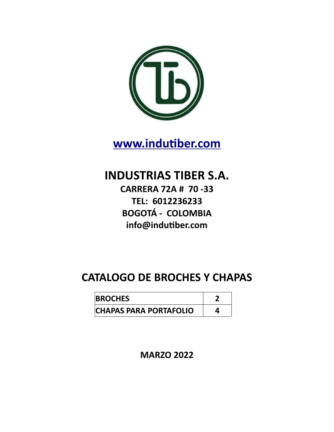

**[www.indutiber.com](http://www.indutiber.com/)**

**INDUSTRIAS TIBER S.A.**

**CARRERA 72A # 70 -33 TEL: 6012236233 BOGOTÁ - COLOMBIA info@indutiber.com**

## **CATALOGO DE BROCHES Y CHAPAS**

| <b>BROCHES</b>                |  |
|-------------------------------|--|
| <b>CHAPAS PARA PORTAFOLIO</b> |  |

**MARZO 2022**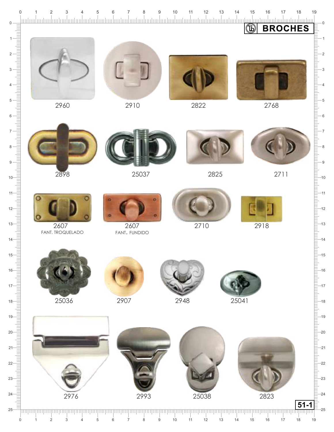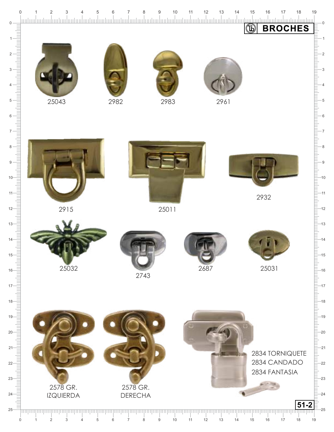